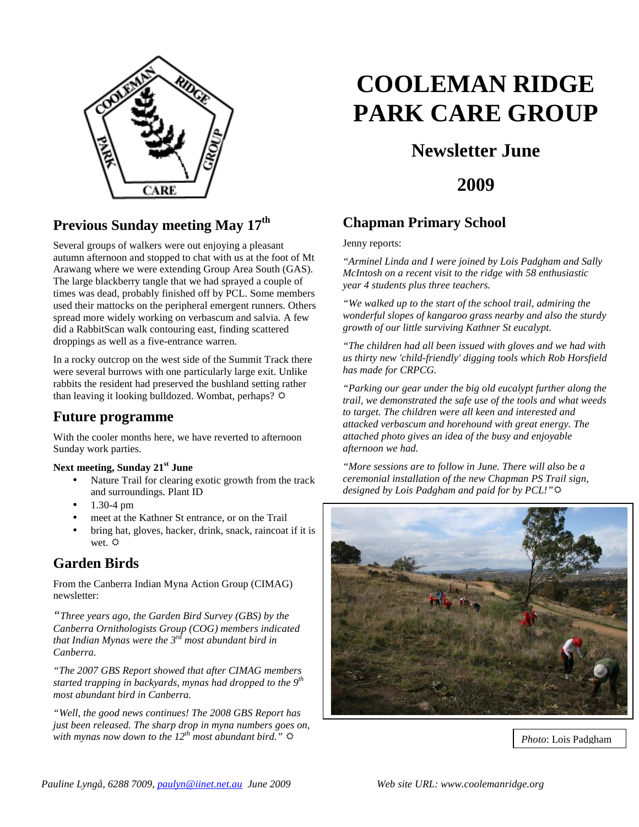

## **Previous Sunday meeting May 17th**

Several groups of walkers were out enjoying a pleasant autumn afternoon and stopped to chat with us at the foot of Mt Arawang where we were extending Group Area South (GAS). The large blackberry tangle that we had sprayed a couple of times was dead, probably finished off by PCL. Some members used their mattocks on the peripheral emergent runners. Others spread more widely working on verbascum and salvia. A few did a RabbitScan walk contouring east, finding scattered droppings as well as a five-entrance warren.

In a rocky outcrop on the west side of the Summit Track there were several burrows with one particularly large exit. Unlike rabbits the resident had preserved the bushland setting rather than leaving it looking bulldozed. Wombat, perhaps?  $\ddot{\varphi}$ 

#### **Future programme**

With the cooler months here, we have reverted to afternoon Sunday work parties.

#### **Next meeting, Sunday 21st June**

- Nature Trail for clearing exotic growth from the track and surroundings. Plant ID
- 1.30-4 pm
- meet at the Kathner St entrance, or on the Trail
- bring hat, gloves, hacker, drink, snack, raincoat if it is wet.  $\ddot{Q}$

## **Garden Birds**

From the Canberra Indian Myna Action Group (CIMAG) newsletter:

*"Three years ago, the Garden Bird Survey (GBS) by the Canberra Ornithologists Group (COG) members indicated that Indian Mynas were the 3rd most abundant bird in Canberra.* 

*"The 2007 GBS Report showed that after CIMAG members started trapping in backyards, mynas had dropped to the 9th most abundant bird in Canberra.* 

*"Well, the good news continues! The 2008 GBS Report has just been released. The sharp drop in myna numbers goes on, with mynas now down to the 12<sup>th</sup> most abundant bird.*"

# **COOLEMAN RIDGE PARK CARE GROUP**

# **Newsletter June**

**2009**

#### **Chapman Primary School**

Jenny reports:

*"Arminel Linda and I were joined by Lois Padgham and Sally McIntosh on a recent visit to the ridge with 58 enthusiastic year 4 students plus three teachers.* 

*"We walked up to the start of the school trail, admiring the wonderful slopes of kangaroo grass nearby and also the sturdy growth of our little surviving Kathner St eucalypt.* 

*"The children had all been issued with gloves and we had with us thirty new 'child-friendly' digging tools which Rob Horsfield has made for CRPCG.* 

*"Parking our gear under the big old eucalypt further along the trail, we demonstrated the safe use of the tools and what weeds to target. The children were all keen and interested and attacked verbascum and horehound with great energy. The attached photo gives an idea of the busy and enjoyable afternoon we had.* 

*"More sessions are to follow in June. There will also be a ceremonial installation of the new Chapman PS Trail sign, designed by Lois Padgham and paid for by PCL!"*



*Photo*: Lois Padgham